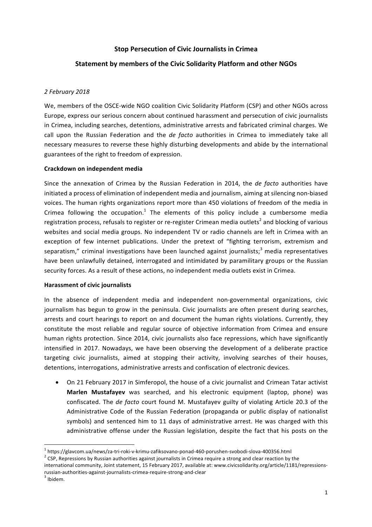# **Stop Persecution of Civic Journalists in Crimea**

# **Statement by members of the Civic Solidarity Platform and other NGOs**

### *2 February 2018*

We, members of the OSCE-wide NGO coalition Civic Solidarity Platform (CSP) and other NGOs across Europe, express our serious concern about continued harassment and persecution of civic journalists in Crimea, including searches, detentions, administrative arrests and fabricated criminal charges. We call upon the Russian Federation and the *de facto* authorities in Crimea to immediately take all necessary measures to reverse these highly disturbing developments and abide by the international guarantees of the right to freedom of expression.

### **Crackdown on independent media**

Since the annexation of Crimea by the Russian Federation in 2014, the *de facto* authorities have initiated a process of elimination of independent media and journalism, aiming at silencing non-biased voices. The human rights organizations report more than 450 violations of freedom of the media in Crimea following the occupation.<sup>1</sup> The elements of this policy include a cumbersome media registration process, refusals to register or re-register Crimean media outlets<sup>2</sup> and blocking of various websites and social media groups. No independent TV or radio channels are left in Crimea with an exception of few internet publications. Under the pretext of "fighting terrorism, extremism and separatism," criminal investigations have been launched against journalists;<sup>3</sup> media representatives have been unlawfully detained, interrogated and intimidated by paramilitary groups or the Russian security forces. As a result of these actions, no independent media outlets exist in Crimea.

### **Harassment of civic iournalists**

In the absence of independent media and independent non-governmental organizations, civic journalism has begun to grow in the peninsula. Civic journalists are often present during searches, arrests and court hearings to report on and document the human rights violations. Currently, they constitute the most reliable and regular source of objective information from Crimea and ensure human rights protection. Since 2014, civic journalists also face repressions, which have significantly intensified in 2017. Nowadays, we have been observing the development of a deliberate practice targeting civic journalists, aimed at stopping their activity, involving searches of their houses, detentions, interrogations, administrative arrests and confiscation of electronic devices.

• On 21 February 2017 in Simferopol, the house of a civic journalist and Crimean Tatar activist Marlen Mustafayev was searched, and his electronic equipment (laptop, phone) was confiscated. The *de facto* court found M. Mustafayev guilty of violating Article 20.3 of the Administrative Code of the Russian Federation (propaganda or public display of nationalist symbols) and sentenced him to 11 days of administrative arrest. He was charged with this administrative offense under the Russian legislation, despite the fact that his posts on the

<sup>&</sup>lt;sup>1</sup> https://glavcom.ua/news/za-tri-roki-v-krimu-zafiksovano-ponad-460-porushen-svobodi-slova-400356.html <sup>2</sup> CSP, Repressions by Russian authorities against journalists in Crimea require a strong and clear reaction by the

international community, Joint statement, 15 February 2017, available at: www.civicsolidarity.org/article/1181/repressionsrussian-authorities-against-journalists-crimea-require-strong-and-clear  $^3$  Ibidem.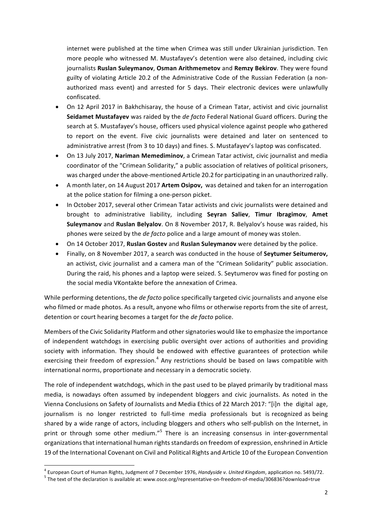internet were published at the time when Crimea was still under Ukrainian jurisdiction. Ten more people who witnessed M. Mustafayev's detention were also detained, including civic **journalists Ruslan Suleymanov, Osman Arithmemetov and Remzy Bekirov.** They were found guilty of violating Article 20.2 of the Administrative Code of the Russian Federation (a nonauthorized mass event) and arrested for 5 days. Their electronic devices were unlawfully confiscated. 

- On 12 April 2017 in Bakhchisaray, the house of a Crimean Tatar, activist and civic journalist Seidamet Mustafayev was raided by the *de facto* Federal National Guard officers. During the search at S. Mustafayev's house, officers used physical violence against people who gathered to report on the event. Five civic journalists were detained and later on sentenced to administrative arrest (from 3 to 10 days) and fines. S. Mustafayev's laptop was confiscated.
- On 13 July 2017, Nariman Memediminov, a Crimean Tatar activist, civic journalist and media coordinator of the "Crimean Solidarity," a public association of relatives of political prisoners, was charged under the above-mentioned Article 20.2 for participating in an unauthorized rally.
- A month later, on 14 August 2017 Artem Osipov, was detained and taken for an interrogation at the police station for filming a one-person picket.
- In October 2017, several other Crimean Tatar activists and civic journalists were detained and brought to administrative liability, including Seyran Saliev, Timur Ibragimov, Amet **Suleymanov** and **Ruslan Belyalov**. On 8 November 2017, R. Belyalov's house was raided, his phones were seized by the *de facto* police and a large amount of money was stolen.
- On 14 October 2017, **Ruslan Gostev** and **Ruslan Suleymanov** were detained by the police.
- Finally, on 8 November 2017, a search was conducted in the house of **Seytumer Seitumerov,** an activist, civic journalist and a camera man of the "Crimean Solidarity" public association. During the raid, his phones and a laptop were seized. S. Seytumerov was fined for posting on the social media VKontakte before the annexation of Crimea.

While performing detentions, the *de facto* police specifically targeted civic journalists and anyone else who filmed or made photos. As a result, anyone who films or otherwise reports from the site of arrest, detention or court hearing becomes a target for the *de facto* police.

Members of the Civic Solidarity Platform and other signatories would like to emphasize the importance of independent watchdogs in exercising public oversight over actions of authorities and providing society with information. They should be endowed with effective guarantees of protection while exercising their freedom of expression.<sup>4</sup> Any restrictions should be based on laws compatible with international norms, proportionate and necessary in a democratic society.

The role of independent watchdogs, which in the past used to be played primarily by traditional mass media, is nowadays often assumed by independent bloggers and civic journalists. As noted in the Vienna Conclusions on Safety of Journalists and Media Ethics of 22 March 2017: "[i]n the digital age, journalism is no longer restricted to full-time media professionals but is recognized as being shared by a wide range of actors, including bloggers and others who self-publish on the Internet, in print or through some other medium."<sup>5</sup> There is an increasing consensus in inter-governmental organizations that international human rights standards on freedom of expression, enshrined in Article 19 of the International Covenant on Civil and Political Rights and Article 10 of the European Convention

<sup>&</sup>lt;sup>4</sup> European Court of Human Rights, Judgment of 7 December 1976, Handyside v. United Kingdom, application no. 5493/72.<br><sup>5</sup> The text of the declaration is available at: www.osce.org/representative-on-freedom-of-media/30683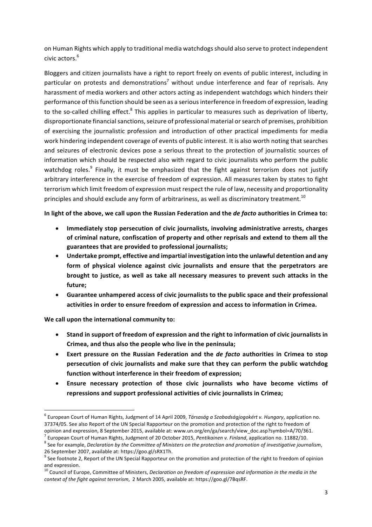on Human Rights which apply to traditional media watchdogs should also serve to protect independent civic actors.<sup>6</sup>

Bloggers and citizen iournalists have a right to report freely on events of public interest, including in particular on protests and demonstrations<sup>7</sup> without undue interference and fear of reprisals. Any harassment of media workers and other actors acting as independent watchdogs which hinders their performance of this function should be seen as a serious interference in freedom of expression, leading to the so-called chilling effect.<sup>8</sup> This applies in particular to measures such as deprivation of liberty, disproportionate financial sanctions, seizure of professional material or search of premises, prohibition of exercising the journalistic profession and introduction of other practical impediments for media work hindering independent coverage of events of public interest. It is also worth noting that searches and seizures of electronic devices pose a serious threat to the protection of journalistic sources of information which should be respected also with regard to civic journalists who perform the public watchdog roles.<sup>9</sup> Finally, it must be emphasized that the fight against terrorism does not justify arbitrary interference in the exercise of freedom of expression. All measures taken by states to fight terrorism which limit freedom of expression must respect the rule of law, necessity and proportionality principles and should exclude any form of arbitrariness, as well as discriminatory treatment.<sup>10</sup>

In light of the above, we call upon the Russian Federation and the *de facto* authorities in Crimea to:

- **Immediately stop persecution of civic journalists, involving administrative arrests, charges** of criminal nature, confiscation of property and other reprisals and extend to them all the **guarantees that are provided to professional journalists;**
- Undertake prompt, effective and impartial investigation into the unlawful detention and any form of physical violence against civic journalists and ensure that the perpetrators are **brought** to justice, as well as take all necessary measures to prevent such attacks in the future:
- Guarantee unhampered access of civic journalists to the public space and their professional **activities in order to ensure freedom of expression and access to information in Crimea.**

**We call upon the international community to:** 

- Stand in support of freedom of expression and the right to information of civic journalists in **Crimea, and thus also the people who live in the peninsula;**
- Exert pressure on the Russian Federation and the *de facto* authorities in Crimea to stop persecution of civic journalists and make sure that they can perform the public watchdog function without interference in their freedom of expression;
- Ensure necessary protection of those civic journalists who have become victims of repressions and support professional activities of civic journalists in Crimea;

<sup>&</sup>lt;sup>6</sup> European Court of Human Rights, Judgment of 14 April 2009, *Társaság a Szabadságjogokért v. Hungary*, application no. 37374/05. See also Report of the UN Special Rapporteur on the promotion and protection of the right to freedom of opinion and expression, 8 September 2015, available at: www.un.org/en/ga/search/view\_doc.asp?symbol=A/70/361.

<sup>&</sup>lt;sup>7</sup> European Court of Human Rights, Judgment of 20 October 2015, *Pentikainen v. Finland*, application no. 11882/10.<br><sup>8</sup> See for example, *Declaration by the Committee of Ministers on the protection and promotion of inves* 

<sup>26</sup> September 2007, available at: https://goo.gl/sRX1Th.<br><sup>9</sup> See footnote 2, Report of the UN Special Rapporteur on the promotion and protection of the right to freedom of opinion and expression.

<sup>&</sup>lt;sup>10</sup> Council of Europe, Committee of Ministers, *Declaration on freedom of expression and information in the media in the context of the fight against terrorism*, 2 March 2005, available at: https://goo.gl/7BqsRF.